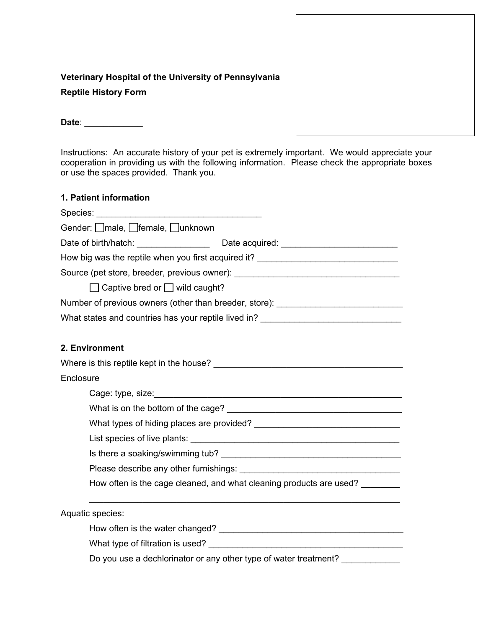# **Veterinary Hospital of the University of Pennsylvania Reptile History Form**

**Date**: \_\_\_\_\_\_\_\_\_\_\_\_

Instructions: An accurate history of your pet is extremely important. We would appreciate your cooperation in providing us with the following information. Please check the appropriate boxes or use the spaces provided. Thank you.

## **1. Patient information**

| Gender: <i>male</i> , <i>female</i> , <i>Junknown</i>                            |  |  |  |
|----------------------------------------------------------------------------------|--|--|--|
|                                                                                  |  |  |  |
| How big was the reptile when you first acquired it? ____________________________ |  |  |  |
| Source (pet store, breeder, previous owner): ___________________________________ |  |  |  |
| $\Box$ Captive bred or $\Box$ wild caught?                                       |  |  |  |
| Number of previous owners (other than breeder, store): _________________________ |  |  |  |
| What states and countries has your reptile lived in? ___________________________ |  |  |  |
|                                                                                  |  |  |  |
| 2. Environment                                                                   |  |  |  |
|                                                                                  |  |  |  |
| Enclosure                                                                        |  |  |  |
|                                                                                  |  |  |  |
|                                                                                  |  |  |  |
|                                                                                  |  |  |  |
|                                                                                  |  |  |  |
|                                                                                  |  |  |  |
|                                                                                  |  |  |  |
| How often is the cage cleaned, and what cleaning products are used?              |  |  |  |
| Aquatic species:                                                                 |  |  |  |
|                                                                                  |  |  |  |
|                                                                                  |  |  |  |
| Do you use a dechlorinator or any other type of water treatment?                 |  |  |  |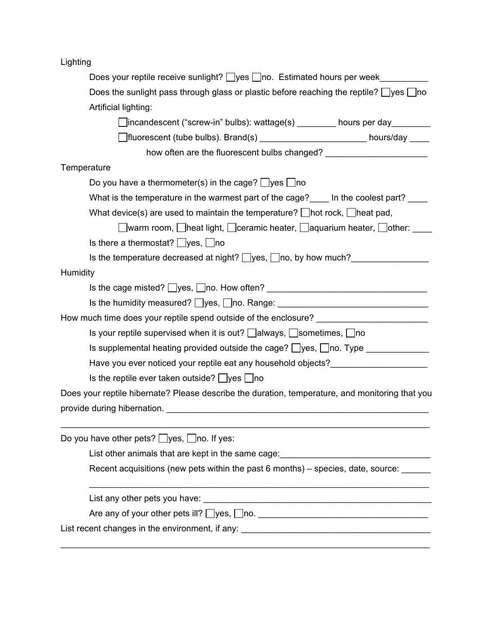Lighting

| Does your reptile receive sunlight? $\Box$ yes $\Box$ no. Estimated hours per week                                |  |  |  |  |
|-------------------------------------------------------------------------------------------------------------------|--|--|--|--|
| Does the sunlight pass through glass or plastic before reaching the reptile? $\Box$ yes $\Box$ no                 |  |  |  |  |
| Artificial lighting:                                                                                              |  |  |  |  |
| □incandescent ("screw-in" bulbs): wattage(s) ________ hours per day________                                       |  |  |  |  |
| □ fluorescent (tube bulbs). Brand(s) _________________________ hours/day _____                                    |  |  |  |  |
| how often are the fluorescent bulbs changed? ___________________________________                                  |  |  |  |  |
| Temperature                                                                                                       |  |  |  |  |
| Do you have a thermometer(s) in the cage? $\Box$ yes $\Box$ no                                                    |  |  |  |  |
| What is the temperature in the warmest part of the cage? In the coolest part?                                     |  |  |  |  |
| What device(s) are used to maintain the temperature? $\Box$ hot rock, $\Box$ heat pad,                            |  |  |  |  |
| ◯warm room, ◯heat light, ◯ceramic heater, ◯aquarium heater, ◯other: ॒                                             |  |  |  |  |
| Is there a thermostat? $\Box$ yes, $\Box$ no                                                                      |  |  |  |  |
| Is the temperature decreased at night? $\Box$ yes, $\Box$ no, by how much?                                        |  |  |  |  |
| Humidity                                                                                                          |  |  |  |  |
| Is the cage misted? Uyes, Uno. How often? University Management Control of the cage misted? Uyes, Uno. How often? |  |  |  |  |
| Is the humidity measured? □yes, □no. Range: ___________________________________                                   |  |  |  |  |
| How much time does your reptile spend outside of the enclosure? _________________                                 |  |  |  |  |
| Is your reptile supervised when it is out? $\Box$ always, $\Box$ sometimes, $\Box$ no                             |  |  |  |  |
| Is supplemental heating provided outside the cage? $\Box$ yes, $\Box$ no. Type $\Box$                             |  |  |  |  |
| Have you ever noticed your reptile eat any household objects?                                                     |  |  |  |  |
| Is the reptile ever taken outside? $\Box$ yes $\Box$ no                                                           |  |  |  |  |
| Does your reptile hibernate? Please describe the duration, temperature, and monitoring that you                   |  |  |  |  |
| provide during hibernation.                                                                                       |  |  |  |  |
|                                                                                                                   |  |  |  |  |
| Do you have other pets? $\Box$ yes, $\Box$ no. If yes:                                                            |  |  |  |  |
| List other animals that are kept in the same cage:<br><u>List other animals that are kept in the same cage:</u>   |  |  |  |  |
| Recent acquisitions (new pets within the past 6 months) – species, date, source: ______                           |  |  |  |  |
|                                                                                                                   |  |  |  |  |
| Are any of your other pets ill? Uyes, Uno. 100. Are any of your other pets ill? Uyes, Uno.                        |  |  |  |  |
|                                                                                                                   |  |  |  |  |
|                                                                                                                   |  |  |  |  |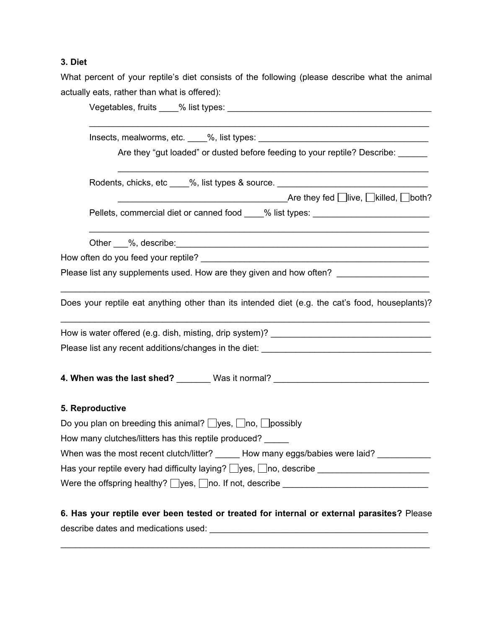## **3. Diet**

What percent of your reptile's diet consists of the following (please describe what the animal actually eats, rather than what is offered):

| Are they "gut loaded" or dusted before feeding to your reptile? Describe: ______                                                                                                                                                     |  |  |  |  |
|--------------------------------------------------------------------------------------------------------------------------------------------------------------------------------------------------------------------------------------|--|--|--|--|
| Rodents, chicks, etc ____%, list types & source. _______________________________                                                                                                                                                     |  |  |  |  |
| Pellets, commercial diet or canned food ____% list types: ______________________                                                                                                                                                     |  |  |  |  |
| Other 6.1%, describe: <u>2000 compares and the set of the set of the set of the set of the set of the set of the set of the set of the set of the set of the set of the set of the set of the set of the set of the set of the s</u> |  |  |  |  |
| How often do you feed your reptile? Notified a series of the series of the series of the series of the series                                                                                                                        |  |  |  |  |
| Please list any supplements used. How are they given and how often? __________________                                                                                                                                               |  |  |  |  |
| Does your reptile eat anything other than its intended diet (e.g. the cat's food, houseplants)?                                                                                                                                      |  |  |  |  |
|                                                                                                                                                                                                                                      |  |  |  |  |
| Please list any recent additions/changes in the diet: ___________________________                                                                                                                                                    |  |  |  |  |
| 4. When was the last shed? _______ Was it normal? ______________________________                                                                                                                                                     |  |  |  |  |
| 5. Reproductive                                                                                                                                                                                                                      |  |  |  |  |
| Do you plan on breeding this animal? $\Box$ yes, $\Box$ no, $\Box$ possibly                                                                                                                                                          |  |  |  |  |
| How many clutches/litters has this reptile produced?                                                                                                                                                                                 |  |  |  |  |
| When was the most recent clutch/litter? ______ How many eggs/babies were laid? _________                                                                                                                                             |  |  |  |  |
| Has your reptile every had difficulty laying? □yes, □no, describe ____________________                                                                                                                                               |  |  |  |  |
|                                                                                                                                                                                                                                      |  |  |  |  |
|                                                                                                                                                                                                                                      |  |  |  |  |

**6. Has your reptile ever been tested or treated for internal or external parasites?** Please describe dates and medications used: \_\_\_\_\_\_\_\_\_\_\_\_\_\_\_\_\_\_\_\_\_\_\_\_\_\_\_\_\_\_\_\_\_\_\_\_\_\_\_\_\_\_\_\_\_

\_\_\_\_\_\_\_\_\_\_\_\_\_\_\_\_\_\_\_\_\_\_\_\_\_\_\_\_\_\_\_\_\_\_\_\_\_\_\_\_\_\_\_\_\_\_\_\_\_\_\_\_\_\_\_\_\_\_\_\_\_\_\_\_\_\_\_\_\_\_\_\_\_\_\_\_